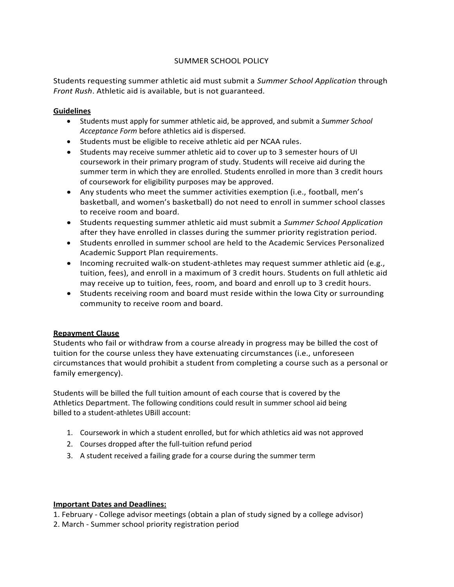# SUMMER SCHOOL POLICY

Students requesting summer athletic aid must submit a *Summer School Application* through *Front Rush*. Athletic aid is available, but is not guaranteed.

#### **Guidelines**

- Students must apply for summer athletic aid, be approved, and submit a *Summer School Acceptance Form* before athletics aid is dispersed.
- Students must be eligible to receive athletic aid per NCAA rules.
- Students may receive summer athletic aid to cover up to 3 semester hours of UI coursework in their primary program of study. Students will receive aid during the summer term in which they are enrolled. Students enrolled in more than 3 credit hours of coursework for eligibility purposes may be approved.
- Any students who meet the summer activities exemption (i.e., football, men's basketball, and women's basketball) do not need to enroll in summer school classes to receive room and board.
- Students requesting summer athletic aid must submit a *Summer School Application* after they have enrolled in classes during the summer priority registration period.
- Students enrolled in summer school are held to the Academic Services Personalized Academic Support Plan requirements.
- Incoming recruited walk-on student-athletes may request summer athletic aid (e.g., tuition, fees), and enroll in a maximum of 3 credit hours. Students on full athletic aid may receive up to tuition, fees, room, and board and enroll up to 3 credit hours.
- Students receiving room and board must reside within the Iowa City or surrounding community to receive room and board.

### **Repayment Clause**

Students who fail or withdraw from a course already in progress may be billed the cost of tuition for the course unless they have extenuating circumstances (i.e., unforeseen circumstances that would prohibit a student from completing a course such as a personal or family emergency).

Students will be billed the full tuition amount of each course that is covered by the Athletics Department. The following conditions could result in summer school aid being billed to a student-athletes UBill account:

- 1. Coursework in which a student enrolled, but for which athletics aid was not approved
- 2. Courses dropped after the full-tuition refund period
- 3. A student received a failing grade for a course during the summer term

### **Important Dates and Deadlines:**

1. February - College advisor meetings (obtain a plan of study signed by a college advisor) 2. March - Summer school priority registration period